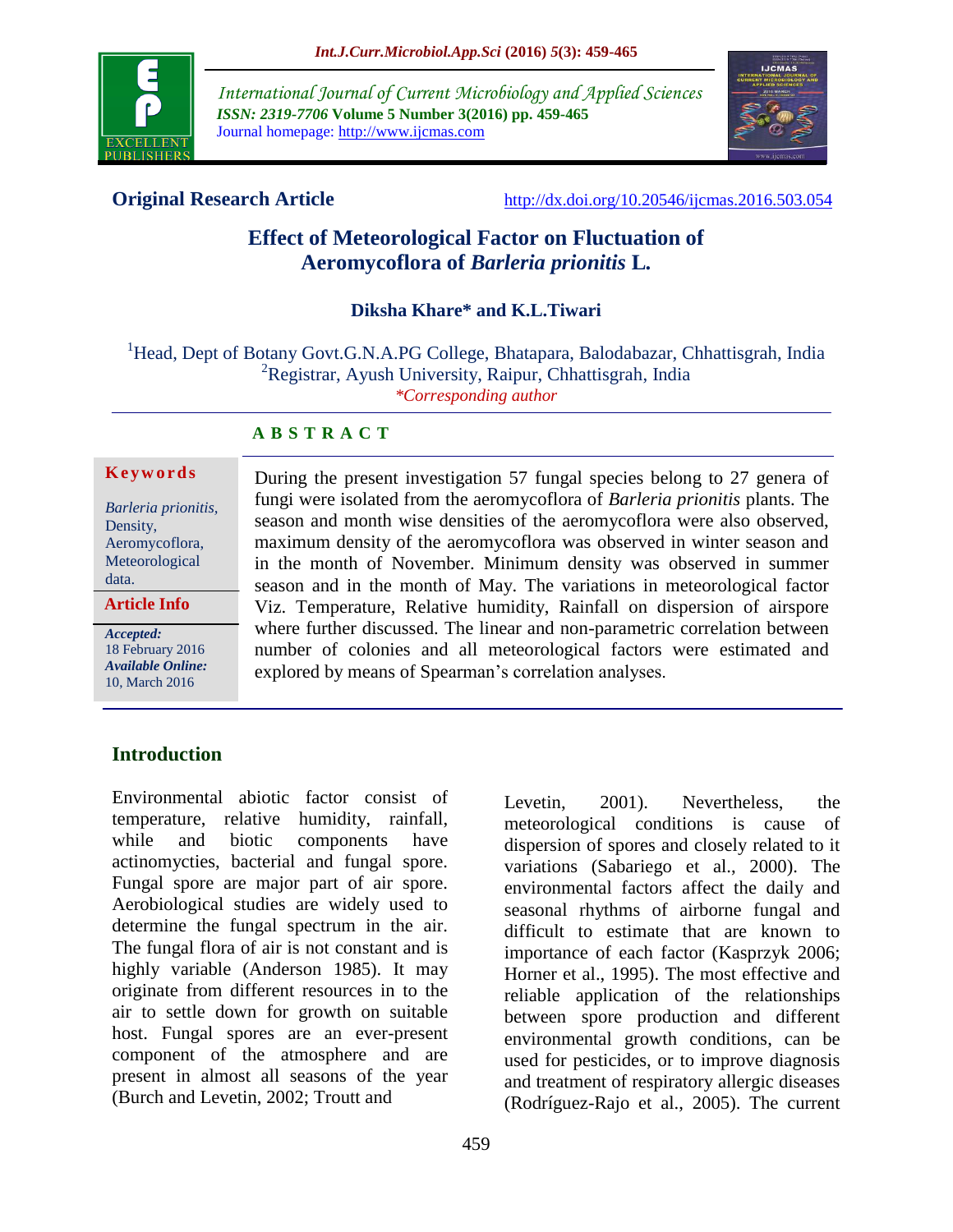

*International Journal of Current Microbiology and Applied Sciences ISSN: 2319-7706* **Volume 5 Number 3(2016) pp. 459-465** Journal homepage: http://www.ijcmas.com



**Original Research Article** <http://dx.doi.org/10.20546/ijcmas.2016.503.054>

# **Effect of Meteorological Factor on Fluctuation of Aeromycoflora of** *Barleria prionitis* **L***.*

#### **Diksha Khare\* and K.L.Tiwari**

<sup>1</sup>Head, Dept of Botany Govt.G.N.A.PG College, Bhatapara, Balodabazar, Chhattisgrah, India <sup>2</sup>Registrar, Ayush University, Raipur, Chhattisgrah, India *\*Corresponding author*

#### **A B S T R A C T**

#### **K e y w o r d s**

*Barleria prionitis,*  Density, Aeromycoflora, Meteorological data.

**Article Info**

*Accepted:*  18 February 2016 *Available Online:* 10, March 2016

During the present investigation 57 fungal species belong to 27 genera of fungi were isolated from the aeromycoflora of *Barleria prionitis* plants. The season and month wise densities of the aeromycoflora were also observed, maximum density of the aeromycoflora was observed in winter season and in the month of November. Minimum density was observed in summer season and in the month of May. The variations in meteorological factor Viz. Temperature, Relative humidity, Rainfall on dispersion of airspore where further discussed. The linear and non-parametric correlation between number of colonies and all meteorological factors were estimated and explored by means of Spearman's correlation analyses.

# **Introduction**

Environmental abiotic factor consist of temperature, relative humidity, rainfall, while and biotic components have actinomycties, bacterial and fungal spore. Fungal spore are major part of air spore. Aerobiological studies are widely used to determine the fungal spectrum in the air. The fungal flora of air is not constant and is highly variable (Anderson 1985). It may originate from different resources in to the air to settle down for growth on suitable host. Fungal spores are an ever-present component of the atmosphere and are present in almost all seasons of the year (Burch and Levetin, 2002; Troutt and

Levetin, 2001). Nevertheless, the meteorological conditions is cause of dispersion of spores and closely related to it variations (Sabariego et al., 2000). The environmental factors affect the daily and seasonal rhythms of airborne fungal and difficult to estimate that are known to importance of each factor (Kasprzyk 2006; Horner et al., 1995). The most effective and reliable application of the relationships between spore production and different environmental growth conditions, can be used for pesticides, or to improve diagnosis and treatment of respiratory allergic diseases (Rodríguez-Rajo et al., 2005). The current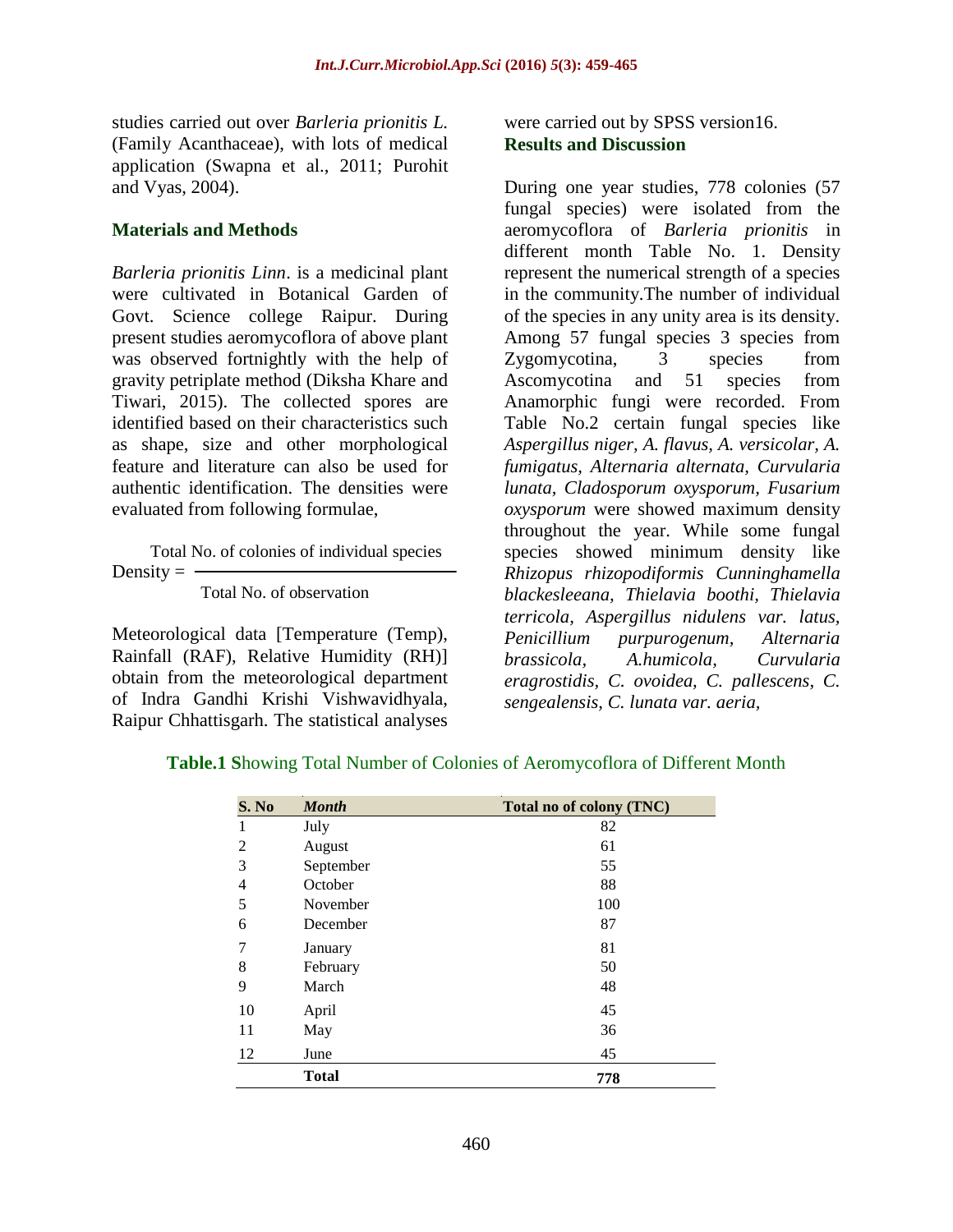studies carried out over *Barleria prionitis L.* (Family Acanthaceae), with lots of medical application (Swapna et al., 2011; Purohit and Vyas, 2004).

#### **Materials and Methods**

*Barleria prionitis Linn*. is a medicinal plant were cultivated in Botanical Garden of Govt. Science college Raipur. During present studies aeromycoflora of above plant was observed fortnightly with the help of gravity petriplate method (Diksha Khare and Tiwari, 2015). The collected spores are identified based on their characteristics such as shape, size and other morphological feature and literature can also be used for authentic identification. The densities were evaluated from following formulae,

 Total No. of colonies of individual species Density  $=$   $-$ 

Total No. of observation

Meteorological data [Temperature (Temp), Rainfall (RAF), Relative Humidity (RH)] obtain from the meteorological department of Indra Gandhi Krishi Vishwavidhyala, Raipur Chhattisgarh. The statistical analyses

were carried out by SPSS version16. **Results and Discussion**

During one year studies, 778 colonies (57 fungal species) were isolated from the aeromycoflora of *Barleria prionitis* in different month Table No. 1. Density represent the numerical strength of a species in the community.The number of individual of the species in any unity area is its density. Among 57 fungal species 3 species from Zygomycotina, 3 species from Ascomycotina and 51 species from Anamorphic fungi were recorded. From Table No.2 certain fungal species like *Aspergillus niger, A. flavus, A. versicolar, A. fumigatus, Alternaria alternata, Curvularia lunata, Cladosporum oxysporum, Fusarium oxysporum* were showed maximum density throughout the year. While some fungal species showed minimum density like *Rhizopus rhizopodiformis Cunninghamella blackesleeana, Thielavia boothi, Thielavia terricola, Aspergillus nidulens var. latus, Penicillium purpurogenum, Alternaria brassicola, A.humicola, Curvularia eragrostidis, C. ovoidea, C. pallescens, C. sengealensis, C. lunata var. aeria,* 

| S. No | <b>Month</b> | Total no of colony (TNC) |
|-------|--------------|--------------------------|
|       | July         | 82                       |
| 2     | August       | 61                       |
| 3     | September    | 55                       |
| 4     | October      | 88                       |
| 5     | November     | 100                      |
| 6     | December     | 87                       |
| 7     | January      | 81                       |
| 8     | February     | 50                       |
| 9     | March        | 48                       |
| 10    | April        | 45                       |
| 11    | May          | 36                       |
| 12    | June         | 45                       |
|       | <b>Total</b> | 778                      |

**Table.1 S**howing Total Number of Colonies of Aeromycoflora of Different Month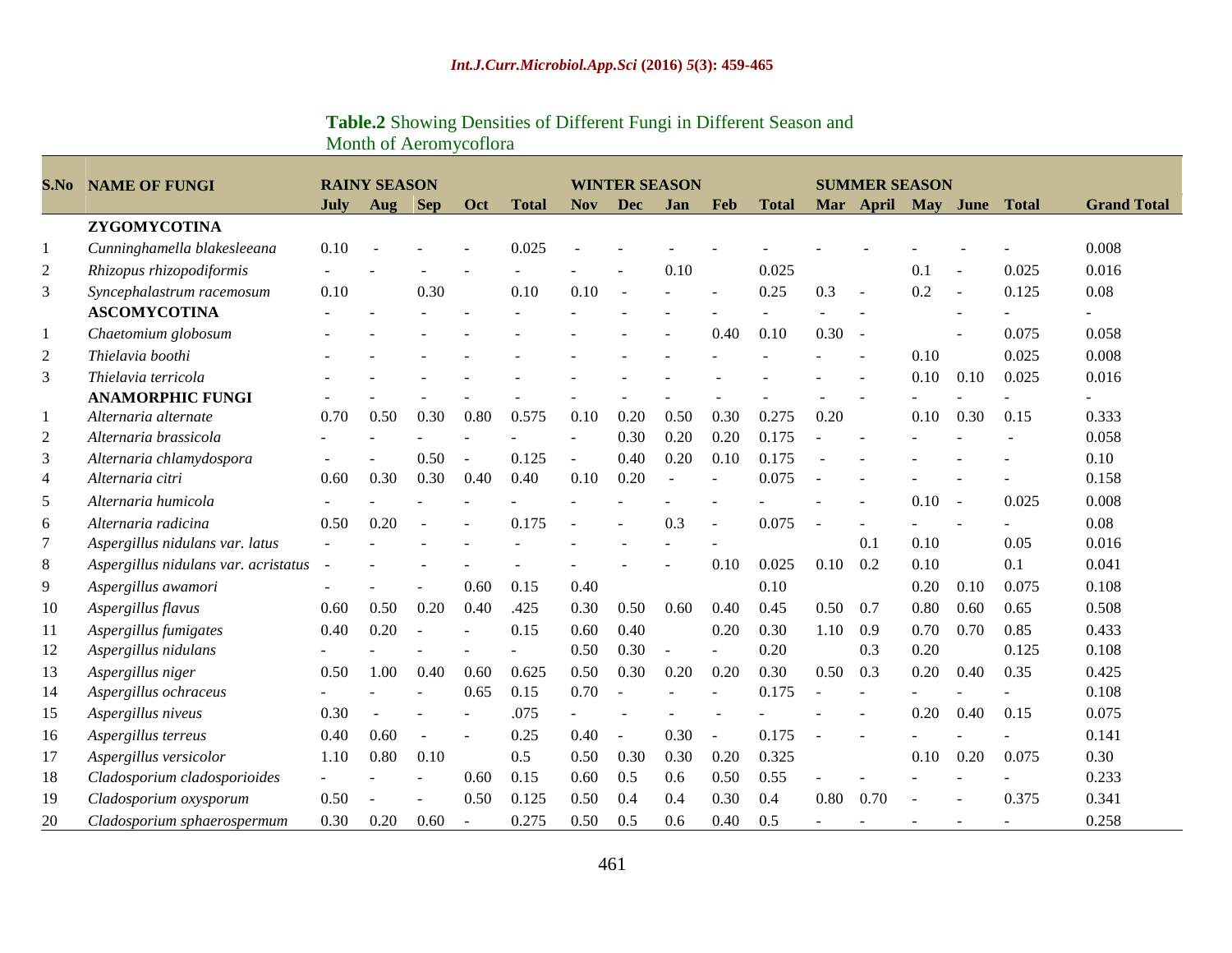# **Table.2** Showing Densities of Different Fungi in Different Season and Month of Aeromycoflora

| S.No           | <b>NAME OF FUNGI</b>                 |      | <b>RAINY SEASON</b> |            |                          |              |                | <b>WINTER SEASON</b> |      |                          |              | <b>SUMMER SEASON</b>     |                    |      |                |              |                    |
|----------------|--------------------------------------|------|---------------------|------------|--------------------------|--------------|----------------|----------------------|------|--------------------------|--------------|--------------------------|--------------------|------|----------------|--------------|--------------------|
|                |                                      | July | Aug                 | <b>Sep</b> | <b>Oct</b>               | <b>Total</b> | <b>Nov</b>     | Dec                  | Jan  | Feb                      | <b>Total</b> |                          | Mar April May June |      |                | <b>Total</b> | <b>Grand Total</b> |
|                | ZYGOMYCOTINA                         |      |                     |            |                          |              |                |                      |      |                          |              |                          |                    |      |                |              |                    |
| 1              | Cunninghamella blakesleeana          | 0.10 |                     |            |                          | 0.025        |                |                      |      |                          |              |                          |                    |      |                |              | 0.008              |
| 2              | Rhizopus rhizopodiformis             |      |                     |            |                          |              |                |                      | 0.10 |                          | 0.025        |                          |                    | 0.1  |                | 0.025        | 0.016              |
| 3              | Syncephalastrum racemosum            | 0.10 |                     | 0.30       |                          | 0.10         | 0.10           | $\sim$               |      |                          | 0.25         | 0.3                      | $\sim$             | 0.2  | $\sim$         | 0.125        | 0.08               |
|                | <b>ASCOMYCOTINA</b>                  |      |                     |            |                          |              |                |                      |      |                          |              |                          |                    |      | $\overline{a}$ |              |                    |
| 1              | Chaetomium globosum                  |      |                     |            |                          |              |                |                      |      | 0.40                     | 0.10         | $0.30 -$                 |                    |      |                | 0.075        | 0.058              |
| 2              | Thielavia boothi                     |      |                     |            |                          |              |                |                      |      |                          |              |                          |                    | 0.10 |                | 0.025        | 0.008              |
| 3              | Thielavia terricola                  |      |                     |            |                          |              |                |                      |      |                          |              |                          |                    | 0.10 | 0.10           | 0.025        | 0.016              |
|                | <b>ANAMORPHIC FUNGI</b>              |      |                     |            |                          |              |                |                      |      |                          |              |                          |                    |      |                |              |                    |
| 1              | Alternaria alternate                 | 0.70 | 0.50                | 0.30       | 0.80                     | 0.575        | 0.10           | 0.20                 | 0.50 | 0.30                     | 0.275        | 0.20                     |                    | 0.10 | 0.30           | 0.15         | 0.333              |
| 2              | Alternaria brassicola                |      | $\blacksquare$      |            | $\sim$                   |              |                | 0.30                 | 0.20 | 0.20                     | 0.175        |                          |                    |      |                |              | 0.058              |
| 3              | Alternaria chlamydospora             |      |                     | 0.50       | $\sim$                   | 0.125        | $\blacksquare$ | 0.40                 | 0.20 | 0.10                     | 0.175        |                          |                    |      |                |              | 0.10               |
| $\overline{4}$ | Alternaria citri                     | 0.60 | 0.30                | 0.30       | 0.40                     | 0.40         | 0.10           | 0.20                 |      |                          | 0.075        |                          |                    |      |                |              | 0.158              |
| 5              | Alternaria humicola                  |      |                     |            |                          |              |                |                      |      |                          |              |                          |                    | 0.10 | $\overline{a}$ | 0.025        | 0.008              |
| 6              | Alternaria radicina                  | 0.50 | 0.20                |            |                          | 0.175        |                |                      | 0.3  | $\sim$                   | 0.075        | $\overline{\phantom{a}}$ |                    |      |                |              | 0.08               |
| 7              | Aspergillus nidulans var. latus      |      |                     |            |                          |              |                |                      |      |                          |              |                          | 0.1                | 0.10 |                | 0.05         | 0.016              |
| 8              | Aspergillus nidulans var. acristatus |      |                     |            |                          |              |                |                      |      | 0.10                     | 0.025        | 0.10                     | 0.2                | 0.10 |                | 0.1          | 0.041              |
| 9              | Aspergillus awamori                  |      |                     |            | 0.60                     | 0.15         | 0.40           |                      |      |                          | 0.10         |                          |                    | 0.20 | 0.10           | 0.075        | 0.108              |
| 10             | Aspergillus flavus                   | 0.60 | 0.50                | 0.20       | 0.40                     | .425         | 0.30           | 0.50                 | 0.60 | 0.40                     | 0.45         | 0.50                     | 0.7                | 0.80 | 0.60           | 0.65         | 0.508              |
| 11             | Aspergillus fumigates                | 0.40 | 0.20                |            |                          | 0.15         | 0.60           | 0.40                 |      | 0.20                     | 0.30         | 1.10                     | 0.9                | 0.70 | 0.70           | 0.85         | 0.433              |
| 12             | Aspergillus nidulans                 |      |                     |            | ÷.                       | ÷.           | 0.50           | 0.30                 |      | $\overline{a}$           | 0.20         |                          | 0.3                | 0.20 |                | 0.125        | 0.108              |
| 13             | Aspergillus niger                    | 0.50 | 1.00                | 0.40       | 0.60                     | 0.625        | 0.50           | 0.30                 | 0.20 | 0.20                     | 0.30         | 0.50                     | 0.3                | 0.20 | 0.40           | 0.35         | 0.425              |
| 14             | Aspergillus ochraceus                |      |                     |            | 0.65                     | 0.15         | 0.70           | $\sim$               |      | $\sim$                   | 0.175        |                          |                    |      |                |              | 0.108              |
| 15             | Aspergillus niveus                   | 0.30 |                     |            |                          | .075         |                |                      |      |                          |              |                          |                    | 0.20 | 0.40           | 0.15         | 0.075              |
| 16             | Aspergillus terreus                  | 0.40 | 0.60                | $\sim$     | ÷.                       | 0.25         | 0.40           | $\sim$               | 0.30 | $\overline{\phantom{a}}$ | 0.175        |                          |                    |      |                |              | 0.141              |
| 17             | Aspergillus versicolor               | 1.10 | 0.80                | 0.10       |                          | 0.5          | 0.50           | 0.30                 | 0.30 | 0.20                     | 0.325        |                          |                    | 0.10 | 0.20           | 0.075        | 0.30               |
| 18             | Cladosporium cladosporioides         |      |                     |            | 0.60                     | 0.15         | 0.60           | 0.5                  | 0.6  | 0.50                     | 0.55         |                          |                    |      |                |              | 0.233              |
| 19             | Cladosporium oxysporum               | 0.50 |                     |            | 0.50                     | 0.125        | 0.50           | 0.4                  | 0.4  | 0.30                     | 0.4          | 0.80                     | 0.70               |      |                | 0.375        | 0.341              |
| 20             | Cladosporium sphaerospermum          | 0.30 | 0.20                | 0.60       | $\overline{\phantom{a}}$ | 0.275        | 0.50           | 0.5                  | 0.6  | 0.40                     | 0.5          |                          |                    |      |                |              | 0.258              |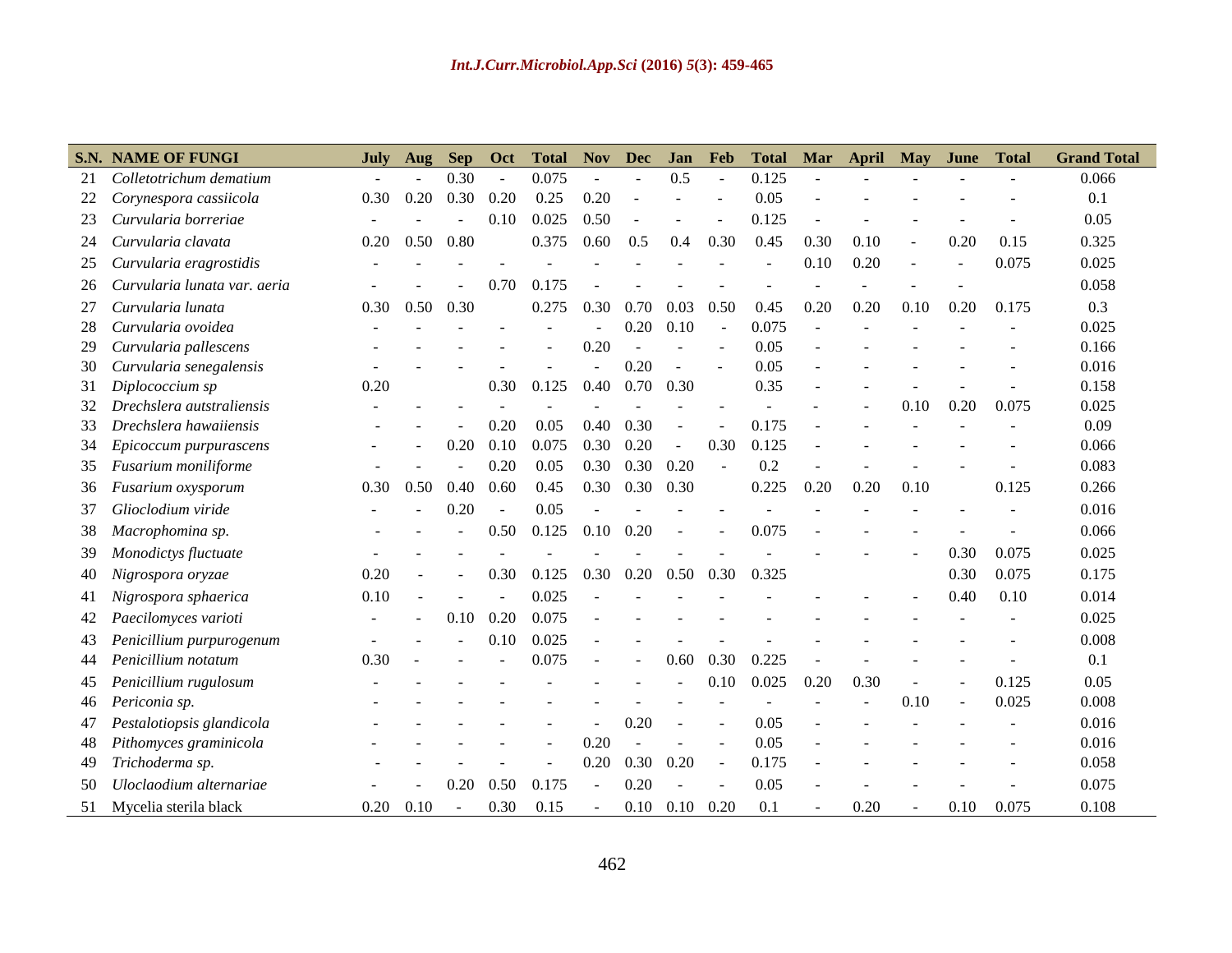|    | <b>S.N. NAME OF FUNGI</b>    | July | Aug  | <b>Sep</b>     | Oct    | <b>Total</b> | <b>Nov</b>     | <b>Dec</b> | Jan            | Feb            | <b>Total</b> | Mar  | April | <b>May</b>     | June | <b>Total</b> | <b>Grand Total</b> |
|----|------------------------------|------|------|----------------|--------|--------------|----------------|------------|----------------|----------------|--------------|------|-------|----------------|------|--------------|--------------------|
| 21 | Colletotrichum dematium      |      |      | 0.30           | $\sim$ | 0.075        |                |            | 0.5            | $\omega$       | 0.125        |      |       |                |      |              | 0.066              |
| 22 | Corynespora cassiicola       | 0.30 | 0.20 | 0.30           | 0.20   | 0.25         | 0.20           |            |                |                | 0.05         |      |       |                |      |              | 0.1                |
| 23 | Curvularia borreriae         |      |      |                | 0.10   | 0.025        | 0.50           |            |                |                | 0.125        |      |       |                |      |              | 0.05               |
| 24 | Curvularia clavata           | 0.20 | 0.50 | 0.80           |        | 0.375        | 0.60           | 0.5        | 0.4            | 0.30           | 0.45         | 0.30 | 0.10  | $\blacksquare$ | 0.20 | 0.15         | 0.325              |
| 25 | Curvularia eragrostidis      |      |      |                |        |              |                |            |                |                |              | 0.10 | 0.20  | $\sim$         |      | 0.075        | 0.025              |
| 26 | Curvularia lunata var. aeria |      |      |                | 0.70   | 0.175        |                |            |                |                |              |      |       |                |      |              | 0.058              |
| 27 | Curvularia lunata            | 0.30 | 0.50 | 0.30           |        | 0.275        | 0.30           | 0.70       | 0.03           | 0.50           | 0.45         | 0.20 | 0.20  | 0.10           | 0.20 | 0.175        | 0.3                |
| 28 | Curvularia ovoidea           |      |      |                |        |              |                | 0.20       | 0.10           |                | 0.075        |      |       |                |      |              | 0.025              |
| 29 | Curvularia pallescens        |      |      |                |        |              | 0.20           |            |                | ÷.             | 0.05         |      |       |                |      |              | 0.166              |
| 30 | Curvularia senegalensis      |      |      |                |        |              |                | 0.20       | $\overline{a}$ |                | 0.05         |      |       |                |      |              | 0.016              |
| 31 | Diplococcium sp              | 0.20 |      |                | 0.30   | 0.125        | 0.40           | 0.70       | 0.30           |                | 0.35         |      |       |                |      |              | 0.158              |
| 32 | Drechslera autstraliensis    |      |      |                |        |              |                |            |                |                |              |      |       | 0.10           | 0.20 | 0.075        | 0.025              |
| 33 | Drechslera hawaiiensis       |      |      |                | 0.20   | 0.05         | 0.40           | 0.30       |                |                | 0.175        |      |       |                |      |              | 0.09               |
| 34 | Epicoccum purpurascens       |      |      | 0.20           | 0.10   | 0.075        | 0.30           | 0.20       | $\sim$         | 0.30           | 0.125        |      |       |                |      |              | 0.066              |
| 35 | Fusarium moniliforme         |      |      | $\overline{a}$ | 0.20   | 0.05         | 0.30           | 0.30       | 0.20           |                | 0.2          |      |       |                |      |              | 0.083              |
| 36 | Fusarium oxysporum           | 0.30 | 0.50 | 0.40           | 0.60   | 0.45         | 0.30           | 0.30       | 0.30           |                | 0.225        | 0.20 | 0.20  | 0.10           |      | 0.125        | 0.266              |
| 37 | Glioclodium viride           |      |      | 0.20           |        | 0.05         |                |            |                |                |              |      |       |                |      |              | 0.016              |
| 38 | Macrophomina sp.             |      |      |                | 0.50   | 0.125        | 0.10           | 0.20       |                |                | 0.075        |      |       |                |      |              | 0.066              |
| 39 | Monodictys fluctuate         |      |      |                |        |              |                |            |                |                |              |      |       |                | 0.30 | 0.075        | 0.025              |
| 40 | Nigrospora oryzae            | 0.20 |      |                | 0.30   | 0.125        | 0.30           | 0.20       | 0.50           | 0.30           | 0.325        |      |       |                | 0.30 | 0.075        | 0.175              |
| 41 | Nigrospora sphaerica         | 0.10 |      |                |        | 0.025        |                |            |                |                |              |      |       | $\sim$         | 0.40 | 0.10         | 0.014              |
| 42 | Paecilomyces varioti         |      |      | 0.10           | 0.20   | 0.075        |                |            |                |                |              |      |       |                |      |              | 0.025              |
| 43 | Penicillium purpurogenum     |      |      |                | 0.10   | 0.025        |                |            |                |                |              |      |       |                |      |              | 0.008              |
| 44 | Penicillium notatum          | 0.30 |      |                |        | 0.075        |                |            | 0.60           | 0.30           | 0.225        |      |       |                |      |              | 0.1                |
| 45 | Penicillium rugulosum        |      |      |                |        |              |                |            |                | 0.10           | 0.025        | 0.20 | 0.30  |                |      | 0.125        | 0.05               |
| 46 | Periconia sp.                |      |      |                |        |              |                |            |                |                |              |      |       | 0.10           |      | 0.025        | 0.008              |
| 47 | Pestalotiopsis glandicola    |      |      |                |        |              |                | 0.20       |                |                | 0.05         |      |       |                |      |              | 0.016              |
| 48 | Pithomyces graminicola       |      |      |                |        |              | 0.20           |            |                | $\overline{a}$ | 0.05         |      |       |                |      |              | 0.016              |
| 49 | Trichoderma sp.              |      |      |                |        |              | 0.20           | 0.30       | 0.20           | $\sim$         | 0.175        |      |       |                |      |              | 0.058              |
| 50 | Uloclaodium alternariae      |      |      | 0.20           | 0.50   | 0.175        | $\blacksquare$ | 0.20       |                |                | 0.05         |      |       |                |      |              | 0.075              |
| 51 | Mycelia sterila black        | 0.20 | 0.10 |                | 0.30   | 0.15         |                | 0.10       | 0.10           | 0.20           | 0.1          |      | 0.20  |                | 0.10 | 0.075        | 0.108              |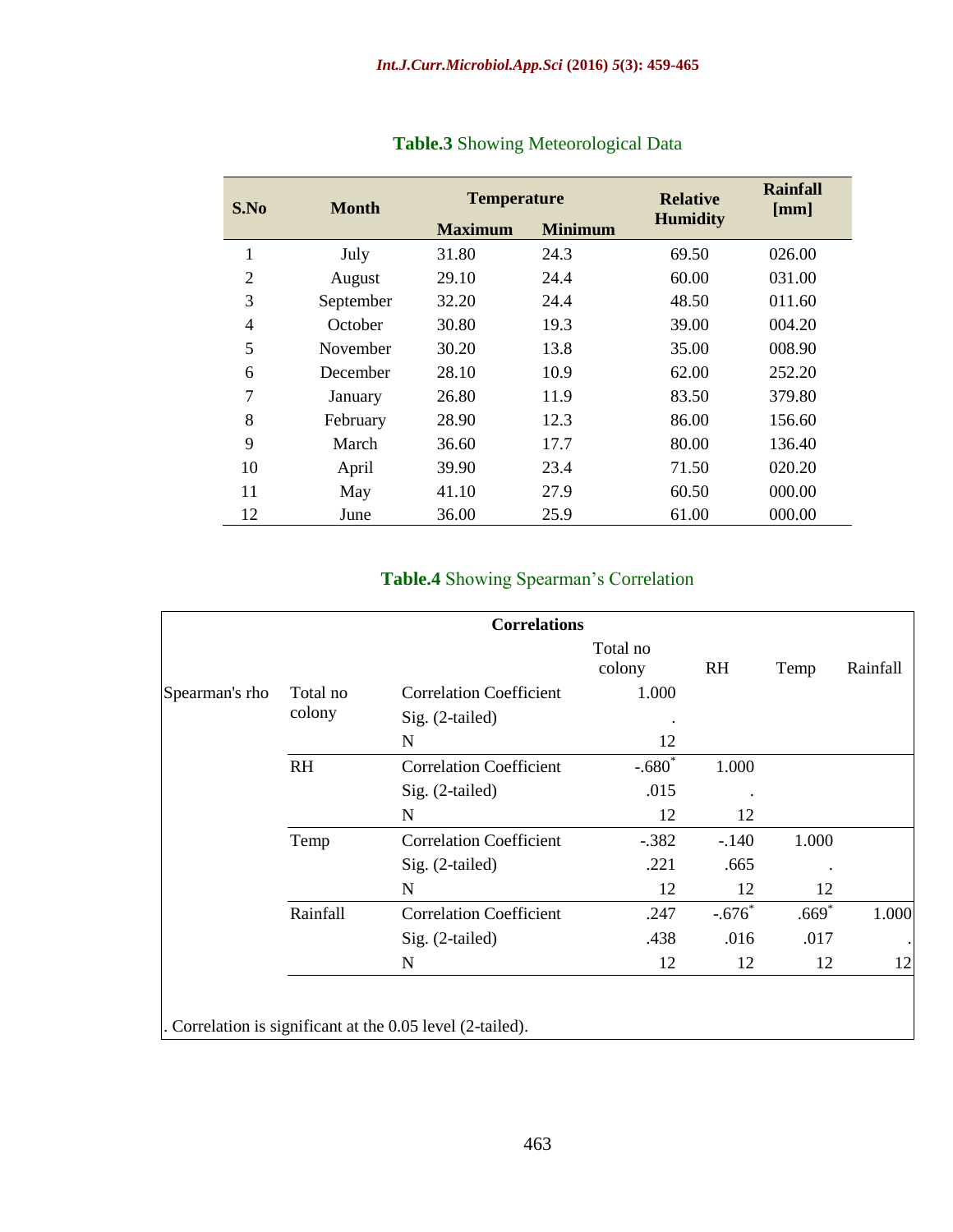| S.No | <b>Month</b> | <b>Temperature</b> |                | <b>Relative</b> | Rainfall<br>[mm] |  |
|------|--------------|--------------------|----------------|-----------------|------------------|--|
|      |              | <b>Maximum</b>     | <b>Minimum</b> | <b>Humidity</b> |                  |  |
| 1    | July         | 31.80              | 24.3           | 69.50           | 026.00           |  |
| 2    | August       | 29.10              | 24.4           | 60.00           | 031.00           |  |
| 3    | September    | 32.20              | 24.4           | 48.50           | 011.60           |  |
| 4    | October      | 30.80              | 19.3           | 39.00           | 004.20           |  |
| 5    | November     | 30.20              | 13.8           | 35.00           | 008.90           |  |
| 6    | December     | 28.10              | 10.9           | 62.00           | 252.20           |  |
| 7    | January      | 26.80              | 11.9           | 83.50           | 379.80           |  |
| 8    | February     | 28.90              | 12.3           | 86.00           | 156.60           |  |
| 9    | March        | 36.60              | 17.7           | 80.00           | 136.40           |  |
| 10   | April        | 39.90              | 23.4           | 71.50           | 020.20           |  |
| 11   | May          | 41.10              | 27.9           | 60.50           | 000.00           |  |
| 12   | June         | 36.00              | 25.9           | 61.00           | 000.00           |  |

# **Table.3** Showing Meteorological Data

# **Table.4** Showing Spearman's Correlation

|                |           | <b>Correlations</b>            |                    |           |         |           |  |
|----------------|-----------|--------------------------------|--------------------|-----------|---------|-----------|--|
|                |           |                                | Total no<br>colony | <b>RH</b> | Temp    | Rainfall  |  |
| Spearman's rho | Total no  | <b>Correlation Coefficient</b> | 1.000              |           |         |           |  |
|                | colony    | Sig. (2-tailed)                |                    |           |         |           |  |
|                |           | N                              | 12                 |           |         |           |  |
|                | <b>RH</b> | <b>Correlation Coefficient</b> | $-.680*$           | 1.000     |         |           |  |
|                |           | Sig. (2-tailed)                | .015               |           |         |           |  |
|                |           | N                              | 12                 | 12        |         |           |  |
|                | Temp      | <b>Correlation Coefficient</b> | $-.382$            | $-.140$   | 1.000   |           |  |
|                |           | Sig. (2-tailed)                | .221               | .665      |         |           |  |
|                |           | N                              | 12                 | 12        | 12      |           |  |
|                | Rainfall  | <b>Correlation Coefficient</b> | .247               | $-.676$   | $.669*$ | 1.000     |  |
|                |           | Sig. (2-tailed)                | .438               | .016      | .017    | $\bullet$ |  |
|                |           | N                              | 12                 | 12        | 12      | 12        |  |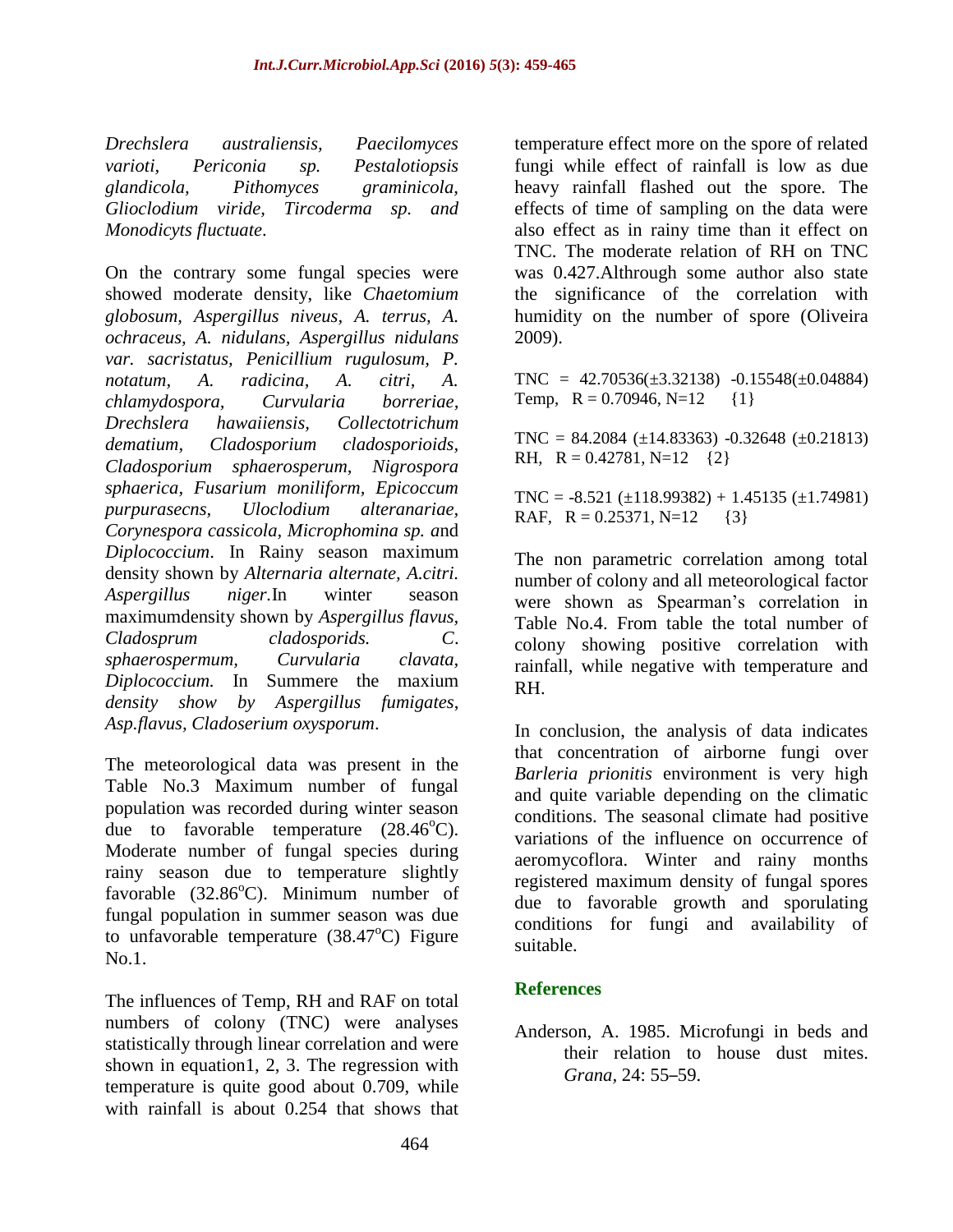*Drechslera australiensis, Paecilomyces varioti, Periconia sp. Pestalotiopsis glandicola, Pithomyces graminicola, Glioclodium viride, Tircoderma sp. and Monodicyts fluctuate*.

On the contrary some fungal species were showed moderate density, like *Chaetomium globosum, Aspergillus niveus, A. terrus, A. ochraceus, A. nidulans, Aspergillus nidulans var. sacristatus, Penicillium rugulosum, P. notatum, A. radicina, A. citri, A. chlamydospora, Curvularia borreriae, Drechslera hawaiiensis, Collectotrichum dematium, Cladosporium cladosporioids, Cladosporium sphaerosperum, Nigrospora sphaerica, Fusarium moniliform, Epicoccum purpurasecns, Uloclodium alteranariae, Corynespora cassicola, Microphomina sp. a*nd *Diplococcium*. In Rainy season maximum density shown by *Alternaria alternate, A.citri. Aspergillus niger.*In winter season maximumdensity shown by *Aspergillus flavus, Cladosprum cladosporids. C*. *sphaerospermum, Curvularia clavata, Diplococcium.* In Summere the maxium *density show by Aspergillus fumigates*, *Asp.flavus, Cladoserium oxysporum*.

The meteorological data was present in the Table No.3 Maximum number of fungal population was recorded during winter season due to favorable temperature  $(28.46^{\circ}C)$ . Moderate number of fungal species during rainy season due to temperature slightly favorable  $(32.86^{\circ}C)$ . Minimum number of fungal population in summer season was due to unfavorable temperature  $(38.47^{\circ}C)$  Figure No.1.

The influences of Temp, RH and RAF on total numbers of colony (TNC) were analyses statistically through linear correlation and were shown in equation1, 2, 3. The regression with temperature is quite good about 0.709, while with rainfall is about 0.254 that shows that temperature effect more on the spore of related fungi while effect of rainfall is low as due heavy rainfall flashed out the spore. The effects of time of sampling on the data were also effect as in rainy time than it effect on TNC. The moderate relation of RH on TNC was 0.427.Althrough some author also state the significance of the correlation with humidity on the number of spore (Oliveira 2009).

 $TNC = 42.70536(\pm 3.32138) -0.15548(\pm 0.04884)$ Temp,  $R = 0.70946$ ,  $N=12$  {1}

 $TNC = 84.2084 \ (\pm 14.83363) \ -0.32648 \ (\pm 0.21813)$ RH,  $R = 0.42781$ , N=12  $\{2\}$ 

 $TNC = -8.521 (\pm 118.99382) + 1.45135 (\pm 1.74981)$ RAF,  $R = 0.25371$ ,  $N=12$  {3}

The non parametric correlation among total number of colony and all meteorological factor were shown as Spearman's correlation in Table No.4. From table the total number of colony showing positive correlation with rainfall, while negative with temperature and RH.

In conclusion, the analysis of data indicates that concentration of airborne fungi over *Barleria prionitis* environment is very high and quite variable depending on the climatic conditions. The seasonal climate had positive variations of the influence on occurrence of aeromycoflora. Winter and rainy months registered maximum density of fungal spores due to favorable growth and sporulating conditions for fungi and availability of suitable.

# **References**

Anderson, A. 1985. Microfungi in beds and their relation to house dust mites. *Grana,* 24: 55–59.